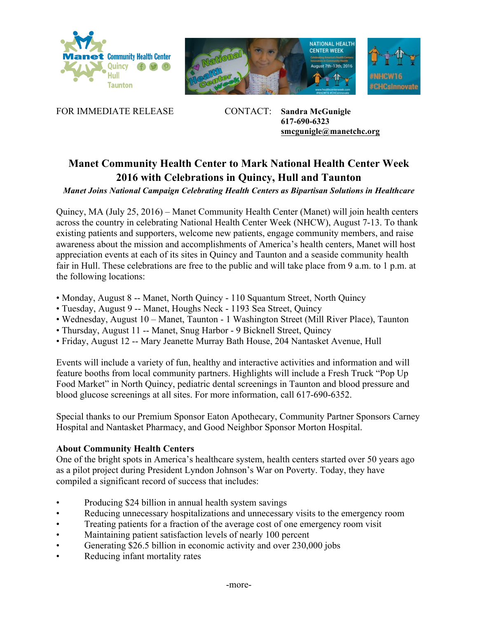





FOR IMMEDIATE RELEASE CONTACT: **Sandra McGunigle 617-690-6323 smcgunigle@manetchc.org**

## **Manet Community Health Center to Mark National Health Center Week 2016 with Celebrations in Quincy, Hull and Taunton**

*Manet Joins National Campaign Celebrating Health Centers as Bipartisan Solutions in Healthcare*

Quincy, MA (July 25, 2016) – Manet Community Health Center (Manet) will join health centers across the country in celebrating National Health Center Week (NHCW), August 7-13. To thank existing patients and supporters, welcome new patients, engage community members, and raise awareness about the mission and accomplishments of America's health centers, Manet will host appreciation events at each of its sites in Quincy and Taunton and a seaside community health fair in Hull. These celebrations are free to the public and will take place from 9 a.m. to 1 p.m. at the following locations:

- Monday, August 8 -- Manet, North Quincy 110 Squantum Street, North Quincy
- Tuesday, August 9 -- Manet, Houghs Neck 1193 Sea Street, Quincy
- Wednesday, August 10 Manet, Taunton 1 Washington Street (Mill River Place), Taunton
- Thursday, August 11 -- Manet, Snug Harbor 9 Bicknell Street, Quincy
- Friday, August 12 -- Mary Jeanette Murray Bath House, 204 Nantasket Avenue, Hull

Events will include a variety of fun, healthy and interactive activities and information and will feature booths from local community partners. Highlights will include a Fresh Truck "Pop Up Food Market" in North Quincy, pediatric dental screenings in Taunton and blood pressure and blood glucose screenings at all sites. For more information, call 617-690-6352.

Special thanks to our Premium Sponsor Eaton Apothecary, Community Partner Sponsors Carney Hospital and Nantasket Pharmacy, and Good Neighbor Sponsor Morton Hospital.

## **About Community Health Centers**

One of the bright spots in America's healthcare system, health centers started over 50 years ago as a pilot project during President Lyndon Johnson's War on Poverty. Today, they have compiled a significant record of success that includes:

- Producing \$24 billion in annual health system savings
- Reducing unnecessary hospitalizations and unnecessary visits to the emergency room
- Treating patients for a fraction of the average cost of one emergency room visit
- Maintaining patient satisfaction levels of nearly 100 percent
- Generating \$26.5 billion in economic activity and over 230,000 jobs
- Reducing infant mortality rates